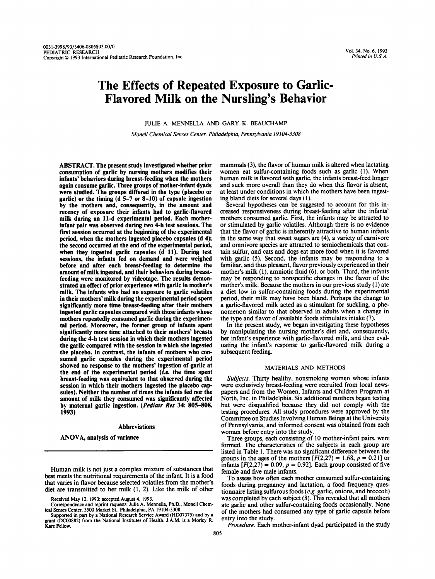# **The Effects of Repeated Exposure to Garlic-Flavored Milk on the Nursling's Behavior**

JULIE A. MENNELLA AND GARY K. BEAUCHAMP

*Monell Chemical Senses Center, Philadelphia, Pennsylvania 19104-3308* 

ABSTRACI'. The present study investigated whether prior consumption of garlic by nursing mothers modifies their infants' behaviors during breast-feeding when the mothers again consume garlic. Three groups of mother-infant dyads were studied. The groups differed in the type (placebo or garlic) or the timing (d 5-7 or 8-10) of capsule ingestion by the mothers and, consequently, in the amount and recency of exposure their infants had to garlic-flavored milk during an 11-d experimental period. Each motherinfant pair was observed during two 4-h test sessions. The first session occurred at the beginning of the experimental period, when the mothers ingested placebo capsules (d 4); the second occurred at the end of the experimental period, when they ingested garlic capsules (d 11). During test sessions, the infants fed on demand and were weighed before and after each breast-feeding to determine the amount of milk ingested, and their behaviors during breastfeeding were monitored by videotape. The results demonstrated an effect of prior experience with garlic in mother's milk. The infants who had no exposure to garlic volatiles in their mothers' milk during the experimental period spent significantly more time breast-feeding after their mothers ingested garlic capsules compared with those infants whose mothers repeatedly consumed garlic during the experimental period. Moreover, the former group of infants spent significantly more time attached to their mothers' breasts during the 4-h test session in which their mothers ingested the garlic compared with the session in which she ingested the placebo. In contrast, the infants of mothers who consumed garlic capsules during the experimental period showed no response to the mothers' ingestion of garlic at the end of the experimental period (i.e. the time spent breast-feeding was equivalent to that observed during the session in which their mothers ingested the placebo capsules). Neither the number of times the infants fed nor the amount of milk they consumed was significantly affected by maternal garlic ingestion. (Pediatr Res 34: 805-808, 1993)

### Abbreviations

ANOVA, analysis of variance

Human milk is not just a complex mixture of substances that best meets the nutritional requirements of the infant. It is a food that varies in flavor because selected volatiles from the mother's diet are transmitted to her milk (1, 2). Like the milk of other

Received May 12, 1993; accepted August 4, 1993.

Correspondence and reprint requests: Julie A. Mennella, Ph.D., Monell Chemical Senses Center, 3500 Market St., Philadelphia, PA 19104-3308.

Supported in part by a National Research Service Award (HD07375) and by a grant (DC00882) from the National Institutes of Health. J.A.M. is a Morley R. **Kare** Fellow.

mammals **(3),** the flavor of human milk is altered when lactating women eat sulfur-containing foods such as garlic (1). When human milk is flavored with garlic, the infants breast-feed longer and suck more overall than they do when this flavor is absent, at least under conditions in which the mothers have been ingesting bland diets for several days (1).

Several hypotheses can be suggested to account for this increased responsiveness during breast-feeding after the infants' mothers consumed garlic. First, the infants may be attracted to or stimulated by garlic volatiles. Although there is no evidence that the flavor of garlic is inherently attractive to human infants in the same way that sweet sugars are **(4),** a variety of carnivore and omnivore species are attracted to semiochemicals that contain sulfur, and cats and dogs eat more food when it is flavored with garlic (5). Second, the infants may be responding to a familiar, and thus pleasant, flavor previously experienced in their mother's milk (I), amniotic fluid (6), or both. Third, the infants may be responding to nonspecific changes in the flavor of the mother's milk. Because the mothers in our previous study (1) ate a diet low in sulfur-containing foods during the experimental period, their milk may have been bland. Perhaps the change to a garlic-flavored milk acted as a stimulant for suckling, a phenomenon similar to that observed in adults when a change in the type and flavor of available foods stimulates intake (7).

In the present study, we began investigating these hypotheses by manipulating the nursing mother's diet and, consequently, her infant's experience with garlic-flavored milk, and then evaluating the infant's response to garlic-flavored milk during a subsequent feeding.

## MATERIALS AND METHODS

Subjects. Thirty healthy, nonsmoking women whose infants were exclusively breast-feeding were recruited from local newspapers and from the Women, Infants and Children Program at North, Inc. in Philadelphia. Six additional mothers began testing but were disqualified because they did not comply with the testing procedures. All study procedures were approved by the Committee on Studies Involving Human Beings at the University of Pennsylvania, and informed consent was obtained from each woman before entry into the study.

Three groups, each consisting of 10 mother-infant pairs, were formed. The characteristics of the subjects in each group are listed in Table 1. There was no significant difference between the groups in the ages of the mothers  $[F(2,27) = 1.68, p = 0.21]$  or infants  $[F(2,27) = 0.09, p = 0.92]$ . Each group consisted of five female and five male infants.

To assess how often each mother consumed sulfur-containing foods during pregnancy and lactation, a food frequency questionnaire listing sulfurous foods (e.g. garlic, onions, and broccoli) was completed by each subject (8). This revealed that all mothers ate garlic and other sulfur-containing foods occasionally. None of the mothers had consumed any type of garlic capsule before entry into the study.

Procedure. Each mother-infant dyad participated in the study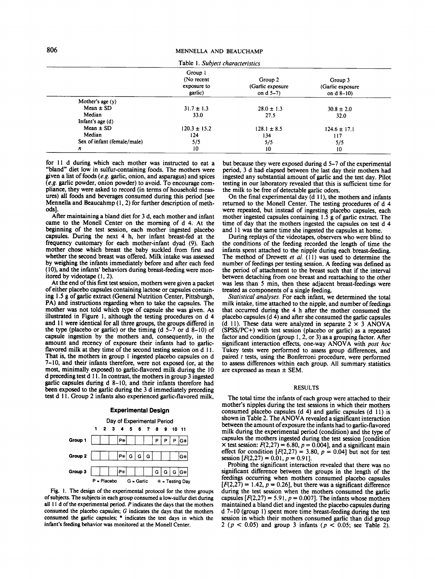|                             | Group 1<br>(No recent<br>exposure to<br>garlic) | Group 2<br>(Garlic exposure<br>on $d$ 5–7) | Group 3<br>(Garlic exposure)<br>on $d_8-10$ |
|-----------------------------|-------------------------------------------------|--------------------------------------------|---------------------------------------------|
| Mother's age $(y)$          |                                                 |                                            |                                             |
| $Mean \pm SD$               | $31.7 \pm 1.3$                                  | $28.0 \pm 1.3$                             | $30.8 \pm 2.0$                              |
| Median                      | 33.0                                            | 27.5                                       | 32.0                                        |
| Infant's age $(d)$          |                                                 |                                            |                                             |
| Mean $\pm$ SD               | $120.3 \pm 15.2$                                | $128.1 \pm 8.5$                            | $124.6 \pm 17.1$                            |
| Median                      | 124                                             | 134                                        | 117                                         |
| Sex of infant (female/male) | 5/5                                             | 5/5                                        | 5/5                                         |
| n                           | 10                                              | 10                                         | 10                                          |

for 11 d during which each mother was instructed to eat a "bland" diet low in sulfur-containing foods. The mothers were given a list of foods  $(e.g.$  garlic, onion, and asparagus) and spices **(e.g.** garlic powder, onion powder) to avoid. To encourage compliance, they were asked to record (in terms of household measures) all foods and beverages consumed during this period [see Mennella and Beaucahmp (1, 2) for further description of methods].

After maintaining a bland diet for 3 d, each mother and infant came to the Monell Center on the morning of d 4. At the beginning of the test session, each mother ingested placebo capsules. During the next 4 h, her infant breast-fed at the frequency customary for each mother-infant dyad (9). Each mother chose which breast the baby suckled from first and whether the second breast was offered. Milk intake was assessed by weighing the infants immediately before and after each feed (10), and the infants' behaviors during breast-feeding were monitored by videotape (l,2).

At the end of this first test session, mothers were given a packet of either placebo capsules containing lactose or capsules containing 1.5 **g** of garlic extract (General Nutrition Center, Pittsburgh, PA) and instructions regarding when to take the capsules. The mother was not told which type of capsule she was given. As illustrated in Figure 1, although the testing procedures on d 4 and 11 were identical for all three groups, the groups differed in the type (placebo or garlic) or the timing  $(d 5-7)$  or  $d 8-10$ ) of capsule ingestion by the mothers and, consequently, in the amount and recency of exposure their infants had to garlicflavored milk at they time of the second testing session on d 11. That is, the mothers in group 1 ingested placebo capsules on d 7-10, and their infants therefore, were not exposed (or, at the most, minimally exposed) to garlic-flavored milk during the 10 d preceding test d 1 1. In contrast, the mothers in group 3 ingested garlic capsules during d 8-10, and their infants therefore had been exposed to the garlic during the 3 d immediately preceding test d 1 1. Group 2 infants also experienced garlic-flavored milk,

### **Experimental Design**



**Fig. I. The design of the experimental protocol for the three groups of subjects. The subjects in each group consumed a low-sulfur diet during all** 1 **1 d of the experimental period. P indicates the days that the mothers consumed the placebo capsules;** *G* **indicates the days that the mothers consumed the garlic capsules;** \* **indicates the test days in which the infant's feeding behavior was monitored at the Monell Center.** 

but because they were exposed during d 5-7 of the experimental period, 3 d had elapsed between the last day their mothers had ingested any substantial amount of garlic and the test day. Pilot testing in our laboratory revealed that this is sufficient time for the milk to be free of detectable garlic odors.

On the final experimental day (d 1 **l),** the mothers and infants returned to the Monell Center. The testing procedures of d 4 were repeated, but instead of ingesting placebo capsules, each mother ingested capsules containing 1.5 g of garlic extract. The time of day that the mothers ingested the capsules on test d 4 and 11 was the same time she ingested the capsules at home.

During replays of the videotapes, observers who were blind to the conditions of the feeding recorded the length of time the infants spent attached to the nipple during each breast-feeding. The method of Drewett et al. (11) was used to determine the number of feedings per testing session. A feeding was defined as the period of attachment to the breast such that if the interval between detaching from one breast and reattaching to the other was less than 5 min, then these adjacent breast-feedings were treated as components of a single feeding.

Statistical analyses. For each infant, we determined the total milk intake, time attached to the nipple, and number of feedings that occurred during the 4 h after the mother consumed the placebo capsules (d 4) and after she consumed the garlic capsules (d 11). These data were analyzed in separate 2 **x** 3 ANOVA (SPSS/PC+) with test session (placebo or garlic) as a repeated factor and condition (group 1, 2, or 3) as a grouping factor. After significant interaction effects, one-way ANOVA with post hoc Tukey tests were performed to assess group differences, and paired  $t$  tests, using the Bonferroni procedure, were performed to assess differences within each group. All summary statistics are expressed as mean  $\pm$  SEM.

#### **RESULTS**

The total time the infants of each group were attached to their mother's nipples during the test sessions in which their mothers consumed placebo capsules (d 4) and garlic capsules (d 11) is shown in Table 2. The ANOVA revealed a significant interaction between the amount of exposure the infants had to garlic-flavored milk during the experimental period (condition) and the type of capsules the mothers ingested during the test session [condition  $\times$  test session:  $F(2,27) = 6.80, p = 0.004$ , and a significant main effect for condition  $[F(2,27) = 3.80, p = 0.04]$  but not for test session  $[F(2,27) = 0.01, p = 0.91]$ .

Probing the significant interaction revealed that there was no significant difference between the groups in the length of the feedings occurring when mothers consumed placebo capsules  $[F(2,27) = 1.42, p = 0.26]$ , but there was a significant difference during the test session when the mothers consumed the garlic capsules  $[F(2,27) = 5.91, p = 0.007]$ . The infants whose mothers maintained a bland diet and ingested the placebo capsules during d 7-10 (group I) spent more time breast-feeding during the test session in which their mothers consumed garlic than did group 2 (p < 0.05) and group 3 infants (p **c** 0.05; see Table 2).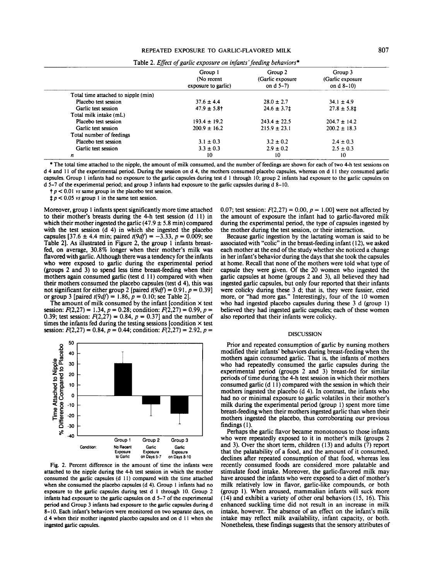## REPEATED EXPOSURE TO GARLIC-FLAVORED MILK **807**

|                                     | Group 1<br>(No recent<br>exposure to garlic) | Group 2<br>(Garlic exposure<br>on $d$ 5-7) | Group 3<br>(Garlic exposure)<br>on $d$ 8–10) |
|-------------------------------------|----------------------------------------------|--------------------------------------------|----------------------------------------------|
| Total time attached to nipple (min) |                                              |                                            |                                              |
| Placebo test session                | $37.6 \pm 4.4$                               | $28.0 \pm 2.7$                             | $34.1 \pm 4.9$                               |
| Garlic test session                 | $47.9 \pm 5.8$ <sup>+</sup>                  | $24.6 \pm 3.7$ ±                           | $27.8 \pm 5.81$                              |
| Total milk intake (mL)              |                                              |                                            |                                              |
| Placebo test session                | $193.4 \pm 19.2$                             | $243.4 \pm 22.5$                           | $204.7 \pm 14.2$                             |
| Garlic test session                 | $200.9 \pm 16.2$                             | $215.9 \pm 23.1$                           | $200.2 \pm 18.3$                             |
| Total number of feedings            |                                              |                                            |                                              |
| Placebo test session                | $3.1 \pm 0.3$                                | $3.2 \pm 0.2$                              | $2.4 \pm 0.3$                                |
| Garlic test session                 | $3.3 \pm 0.3$                                | $2.9 \pm 0.2$                              | $2.5 \pm 0.3$                                |
| n                                   | 10                                           | 10                                         | 10                                           |

\* The total time attached to the nipple, the amount of milk consumed, and the number of feedings are shown for each of two 4-h test sessions on d 4 and 11 of the experimental period. During the session on d 4, the mothers consumed placebo capsules, whereas on d I I they consumed garlic capsules. Group I infants had no exposure to the garlic capsules during test d 1 through 10; group 2 infants had exposure to the garlic capsules on d 5-7 of the experimental period; and group 3 infants had exposure to the garlic capsules during d 8-10.

 $t p < 0.01$  *vs* same group in the placebo test session.

 $\sharp p < 0.05$  vs group 1 in the same test session.

Moreover, group 1 infants spent significantly more time attached to their mother's breasts during the 4-h test session (d 11) in which their mother ingested the garlic  $(47.9 \pm 5.8 \text{ min})$  compared with the test session (d 4) in which she ingested the placebo capsules [37.6  $\pm$  4.4 min; paired  $t(9df) = -3.33$ ,  $p = 0.009$ ; see Table 21. As illustrated in Figure 2, the group 1 infants breastfed, on average, 30.8% longer when their mother's milk was flavored with garlic. Although there was a tendency for the infants who were exposed to garlic during the experimental period (groups 2 and 3) to spend less time breast-feeding when their mothers again consumed garlic (test d 11) compared with when their mothers consumed the placebo capsules (test d 4), this was not significant for either group 2 [paired  $t(9df) = 0.91$ ,  $p = 0.39$ ] or group 3 [paired  $t(9df) = 1.86$ ,  $p = 0.10$ ; see Table 2].

The amount of milk consumed by the infant [condition  $\times$  test session:  $F(2,27) = 1.34$ ,  $p = 0.28$ ; condition:  $F(2,27) = 0.99$ ,  $p =$ 0.39; test session:  $F(2,27) = 0.84$ ,  $p = 0.37$ ] and the number of times the infants fed during the testing sessions [condition  $\times$  test session:  $F(2,27) = 0.84$ ,  $p = 0.44$ ; condition:  $F(2,27) = 2.92$ ,  $p =$ 



Fig. 2. Percent difference in the amount of time the infants were attached to the nipple during the 4-h test session in which the mother consumed the garlic capsules (d 11) compared with the time attached when she consumed the placebo capsules (d 4). Group 1 infants had no exposure to the garlic capsules during test d I through 10. Group 2 infants had exposure to the garlic capsules on d 5-7 of the experimental period and Group 3 infants had exposure to the garlic capsules during d 8-10. Each infant's behaviors were monitored on two separate days, on d 4 when their mother ingested placebo capsules and on d I I when she ingested garlic capsules.

0.07; test session:  $F(2,27) = 0.00$ ,  $p = 1.00$ ] were not affected by the amount of exposure the infant had to garlic-flavored milk during the experimental period, the type of capsules ingested by the mother during the test session, or their interaction.

Because garlic ingestion by the lactating woman is said to be associated with "colic" in the breast-feeding infant (I 2), we asked each mother at the end of the study whether she noticed a change in her infant's behavior during the days that she took the capsules at home. Recall that none of the mothers were told what type of capsule they were given. Of the 20 women who ingested the garlic capsules at home (groups 2 and 3), all believed they had ingested garlic capsules, but only four reported that their infants were colicky during these 3 d; that is, they were fussier, cried more, or "had more **gas."** Interestingly, four of the 10 women who had ingested placebo capsules during these 3 d (group 1) believed they had ingested garlic capsules; each of these women also reported that their infants were colicky.

### DISCUSSION

Prior and repeated consumption of garlic by nursing mothers modified their infants' behaviors during breast-feeding when the mothers again consumed garlic. That is, the infants of mothers who had repeatedly consumed the garlic capsules during the experimental period (groups 2 and 3) breast-fed for similar periods of time during the 4-h test session in which their mothers consumed garlic (d 11) compared with the session in which their mothers ingested the placebo (d 4). In contrast, the infants who had no or minimal exposure to garlic volatiles in their mother's milk during the experimental period (group 1) spent more time breast-feeding when their mothers ingested garlic than when their mothers ingested the placebo, thus corroborating our previous findings (1).

Perhaps the garlic flavor became monotonous to those infants who were repeatedly exposed to it in mother's milk (groups 2 and 3). Over the short term, children (13) and adults (7) report that the palatability of a food, and the amount of it consumed, declines after repeated consumption of that food, whereas less recently consumed foods are considered more palatable and stimulate food intake. Moreover, the garlic-flavored milk may have aroused the infants who were exposed to a diet of mother's milk relatively low in flavor, garlic-like compounds, or both (group 1). When aroused, mammalian infants will suck more ( 14) and exhibit a variety of other oral behaviors ( 15, 16). This enhanced suckling time did not result in an increase in milk intake, however. The absence of an effect on the infant's milk intake may reflect milk availability, infant capacity, or both. Nonetheless, these findings suggests that the sensory attributes of